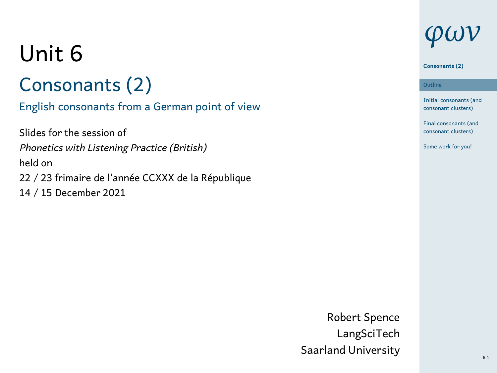# Unit 6

# Consonants (2)

# English consonants from a German point of view

Slides for the session of *Phonetics with Listening Practice (British)* held on 22 / 23 frimaire de l'année CCXXX de la République 14 / 15 December 2021

# *φων*

#### **Consonants (2)**

1 Initial consonants (and consonant clusters) **Outline** Final consonants (and consonant clusters) Some work for you!

Robert Spence LangSciTech Saarland University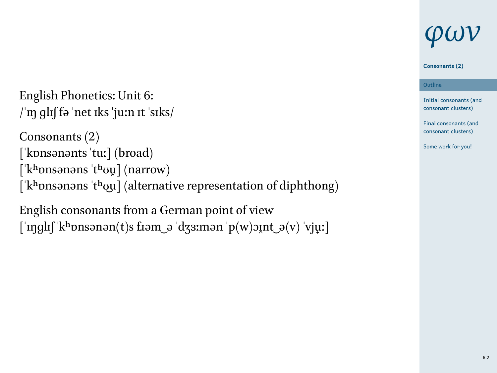# English Phonetics: Unit 6:  $\limsup$  glif fə 'net iks 'ju:n it 'siks/

Consonants (2) [ˈkɒnsənənts ˈtuː] (broad) [ˈkʰɒnsənəns ˈtʰʊu̯] (narrow) [ˈkʰɒnsənəns ˈtʰʊ͜u] (alternative representation of diphthong)

English consonants from a German point of view  $[\hat{m}g] \label{eq:3} \text{``righf}' \text{``k-honsənən(t)} \text{``rjən'} \text{``rjən'} \text{``rjən'} \text{``rjən'} \text{``rjən'} \text{``rjən'} \text{``rjən'} \text{``rjən'} \text{``rjən'} \text{``rjən'} \text{``rjən'} \text{``rjən'} \text{``rjən'} \text{``rjən'} \text{``rjən'} \text{``rjən'} \text{``rjən'} \text{``rjən'} \text{``rjən'} \text{``rjən'} \text{``r$ 



### **Consonants (2)**

1 Initial consonants (and consonant clusters) **Outline** Final consonants (and consonant clusters)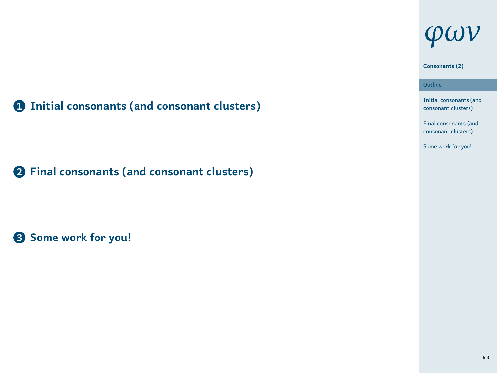# *φων*

### **Consonants (2)**

1 Initial consonants (and consonant clusters) **Outline** Final consonants (and consonant clusters) Some work for you!

**1 Initial consonants (and consonant clusters)**

**2 Final consonants (and consonant clusters)**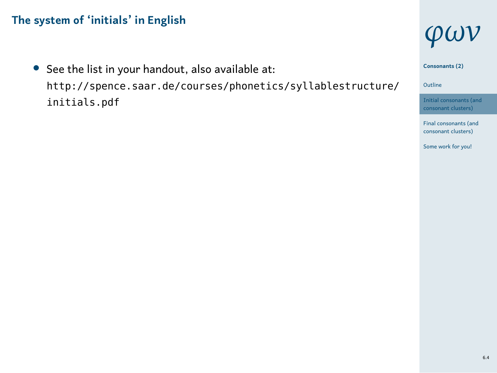*•* See the list in your handout, also available at: http://spence.saar.de/courses/phonetics/syllablestructure/ initials.pdf







6.4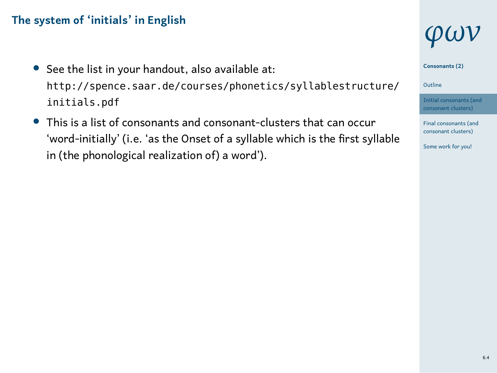- *•* See the list in your handout, also available at: http://spence.saar.de/courses/phonetics/syllablestructure/ initials.pdf
- *•* This is a list of consonants and consonant-clusters that can occur 'word-initially' (i.e. 'as the Onset of a syllable which is the first syllable in (the phonological realization of) a word').

# *φων*







Final consonants (and consonant clusters) Some work for you!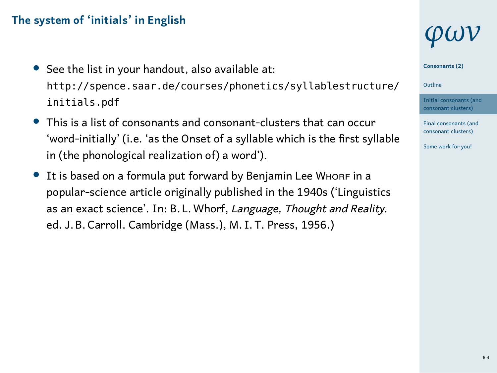- *•* See the list in your handout, also available at: http://spence.saar.de/courses/phonetics/syllablestructure/ initials.pdf
- *•* This is a list of consonants and consonant-clusters that can occur 'word-initially' (i.e. 'as the Onset of a syllable which is the first syllable in (the phonological realization of) a word').
- It is based on a formula put forward by Benjamin Lee WHORF in a popular-science article originally published in the 1940s ('Linguistics as an exact science'. In: B. L.Whorf, *Language, Thought and Reality*. ed. J. B. Carroll. Cambridge (Mass.), M. I. T. Press, 1956.)

# *φων*







Final consonants (and consonant clusters) Some work for you!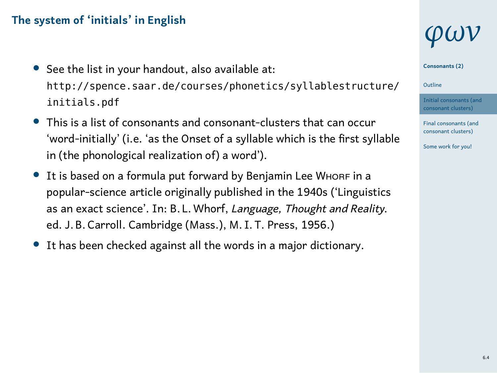- *•* See the list in your handout, also available at: http://spence.saar.de/courses/phonetics/syllablestructure/ initials.pdf
- *•* This is a list of consonants and consonant-clusters that can occur 'word-initially' (i.e. 'as the Onset of a syllable which is the first syllable in (the phonological realization of) a word').
- It is based on a formula put forward by Benjamin Lee WHORF in a popular-science article originally published in the 1940s ('Linguistics as an exact science'. In: B. L.Whorf, *Language, Thought and Reality*. ed. J. B. Carroll. Cambridge (Mass.), M. I. T. Press, 1956.)
- *•* It has been checked against all the words in a major dictionary.

# *φων*





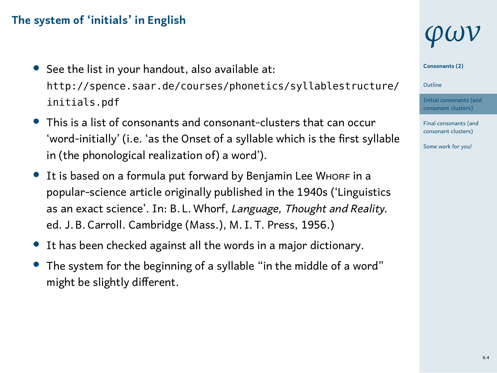- *•* See the list in your handout, also available at: http://spence.saar.de/courses/phonetics/syllablestructure/ initials.pdf
- *•* This is a list of consonants and consonant-clusters that can occur 'word-initially' (i.e. 'as the Onset of a syllable which is the first syllable in (the phonological realization of) a word').
- It is based on a formula put forward by Benjamin Lee WHORF in a popular-science article originally published in the 1940s ('Linguistics as an exact science'. In: B. L.Whorf, *Language, Thought and Reality*. ed. J. B. Carroll. Cambridge (Mass.), M. I. T. Press, 1956.)
- *•* It has been checked against all the words in a major dictionary.
- *•* The system for the beginning of a syllable "in the middle of a word" might be slightly different.

# *φων*







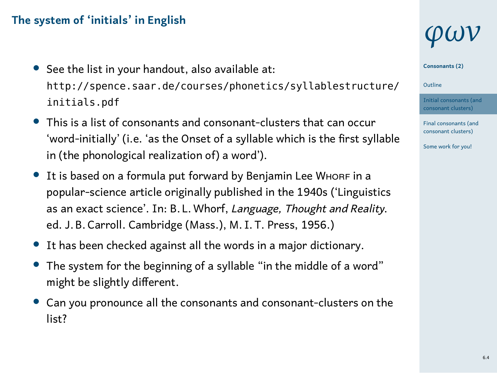- *•* See the list in your handout, also available at: http://spence.saar.de/courses/phonetics/syllablestructure/ initials.pdf
- *•* This is a list of consonants and consonant-clusters that can occur 'word-initially' (i.e. 'as the Onset of a syllable which is the first syllable in (the phonological realization of) a word').
- It is based on a formula put forward by Benjamin Lee WHORF in a popular-science article originally published in the 1940s ('Linguistics as an exact science'. In: B. L.Whorf, *Language, Thought and Reality*. ed. J. B. Carroll. Cambridge (Mass.), M. I. T. Press, 1956.)
- *•* It has been checked against all the words in a major dictionary.
- *•* The system for the beginning of a syllable "in the middle of a word" might be slightly different.
- *•* Can you pronounce all the consonants and consonant-clusters on the list?

# *φων*







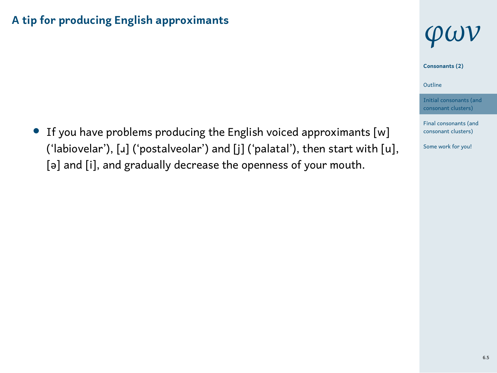# **A tip for producing English approximants**

*•* If you have problems producing the English voiced approximants [w] ('labiovelar'), [J] ('postalveolar') and [j] ('palatal'), then start with [u], [ə] and [i], and gradually decrease the openness of your mouth.



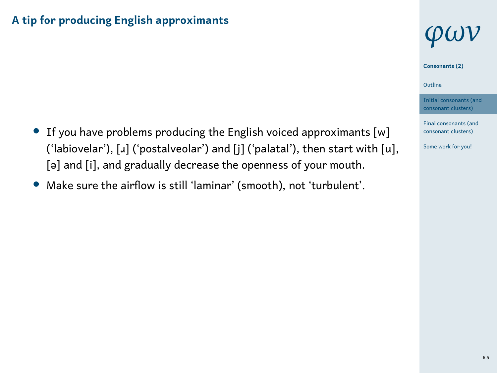# **A tip for producing English approximants**

- *•* If you have problems producing the English voiced approximants [w] ('labiovelar'), [ɹ] ('postalveolar') and [j] ('palatal'), then start with [u], [ə] and [i], and gradually decrease the openness of your mouth.
- *•* Make sure the airflow is still 'laminar' (smooth), not 'turbulent'.



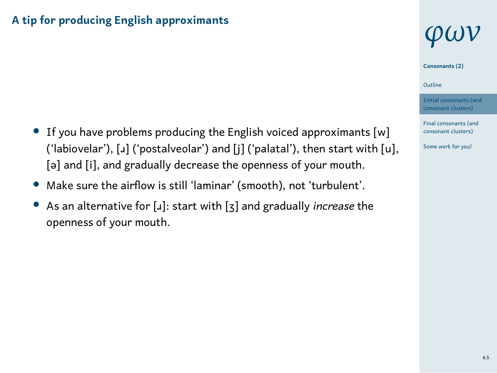# **A tip for producing English approximants**

- *•* If you have problems producing the English voiced approximants [w] ('labiovelar'), [ɹ] ('postalveolar') and [j] ('palatal'), then start with [u], [ə] and [i], and gradually decrease the openness of your mouth.
- *•* Make sure the airflow is still 'laminar' (smooth), not 'turbulent'.
- *•* As an alternative for [ɹ]: start with [ʒ] and gradually *increase* the openness of your mouth.

# *φων* **Consonants (2)**



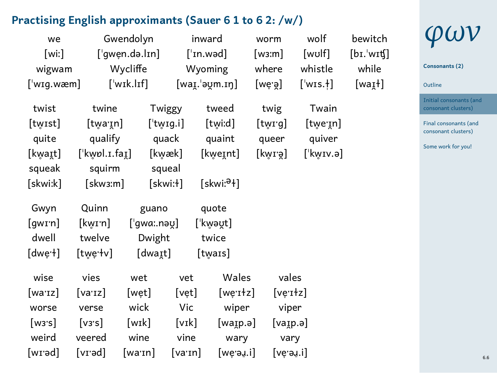#### **Practising English approximants (Sauer 6 1 to 6 2: /w/)**

| ractising English approximants (Sauer 6 1 to 6 2: /w/) |                 |            |                                    |                          |          |                         |               |
|--------------------------------------------------------|-----------------|------------|------------------------------------|--------------------------|----------|-------------------------|---------------|
| Gwendolyn<br>we                                        |                 | inward     |                                    | worm                     | wolf     | bewitch                 |               |
| [wi:]                                                  | ['qwen.də.lɪn]  |            |                                    | $\lceil$ 'ɪn.wəd]        |          | [wʊlf]                  | $[bI$ wit $[$ |
| wigwam                                                 |                 | Wycliffe   | Wyoming                            |                          | where    | whistle                 | while         |
| [ˈwɪq.wæm]                                             |                 | [ˈwɪk.lɪf] |                                    | $[$ waɪ̯.ˈəʊ̯m.ɪŋ]       | [we̥·ə̯] | $[$ 'wɪs. $\dagger]$    | $[waI+]$      |
| twist                                                  | twine           |            | Twiggy                             | tweed                    | twig     | Twain                   |               |
| [twɪst]                                                | [twaːɪn]        |            | $[$ 'twɪg.i]                       | [twiːd]                  | [twig]   | $[$ twe $\mathsf{in}$ ] |               |
| quite                                                  | qualify         |            | quack                              | quaint                   | queer    | quiver                  |               |
| [kwaɪt]                                                | [ˈkw̥ɒl.ɪ.faɪ̯] |            | [kwæk]                             | [kweɪnt]                 | [kwɪːə]  | [ˈkwɪv.ə]               |               |
| squeak                                                 | squirm          |            | squeal                             |                          |          |                         |               |
| [skwiːk]                                               | [skw3:m]        |            | [skwi:ɫ]                           | [skwi: <sup>ə</sup> ł]   |          |                         |               |
| Gwyn                                                   | Quinn           | guano      |                                    | quote                    |          |                         |               |
| [qwɪːn]                                                | [kwɪːn]         | ['gwa:nay] |                                    | [ˈkw̯əʊ̯t]               |          |                         |               |
| dwell                                                  | twelve          | Dwight     |                                    | twice                    |          |                         |               |
| [dwe·l]                                                | [twe·tv]        | [dwaɪt]    |                                    | [twars]                  |          |                         |               |
| wise                                                   | vies            | wet        | vet                                | Wales                    |          | vales                   |               |
| [wa·ɪz]                                                | [va·ɪz]         | [wet]      | $[\mathsf{v}\mathsf{e}\mathsf{t}]$ | $[we$ <sub>r</sub> $+z]$ |          | $[ve$ r $dz]$           |               |
| worse                                                  | verse           | wick       | Vic                                | wiper                    |          | viper                   |               |
| [w3's]                                                 | [vs:s]          | [wɪk]      | $\lceil$ vɪk $\rceil$              | [waɪp.ə]                 |          | [vaip.a]                |               |
| weird                                                  | veered          | wine       | vine                               | wary                     |          | vary                    |               |
| [wɪ·əd]                                                | [vɪ·əd]         | [wa·ɪn]    | [varn]                             | [we·əɹ.i]                |          | [veˈəɹ.i]               |               |
|                                                        |                 |            |                                    |                          |          |                         |               |



**Consonants (2)**

1 Outline nitial consonants (and consonant clusters) Final consonants (and consonant clusters)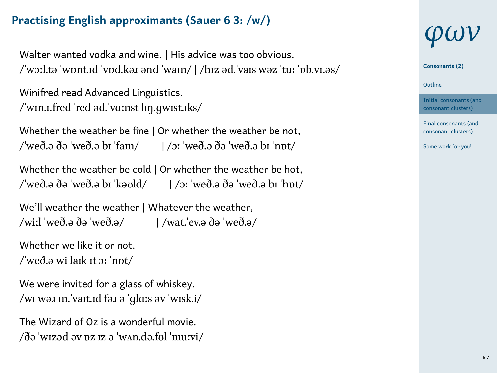# **Practising English approximants (Sauer 6 3: /w/)**

Walter wanted vodka and wine. | His advice was too obvious. /ˈwɔːl.tə ˈwɒnt.ɪd ˈvɒd.kəɹ ənd ˈwaɪn/ | /hɪz əd.ˈvaɪs wəz ˈtuː ˈɒb.vɪ.əs/

Winifred read Advanced Linguistics. /ˈwɪn.ɪ.fred ˈred əd.ˈvɑːnst lɪŋ.ɡwɪst.ɪks/

Whether the weather be fine | Or whether the weather be not, /ˈweð.ə ðə ˈweð.ə bɪ ˈfaɪn/ | /ɔː ˈweð.ə ðə ˈweð.ə bɪ ˈnɒt/

Whether the weather be cold | Or whether the weather be hot, /ˈweð.ə ðə ˈweð.ə bɪ ˈkəʊld/ | /ɔː ˈweð.ə ðə ˈweð.ə bɪ ˈhɒt/

We'll weather the weather | Whatever the weather, /wiːl ˈweð.ə ðə ˈweð.ə/ | /wat.ˈev.ə ðə ˈweð.ə/

Whether we like it or not. /ˈweð.ə wi laɪk ɪt ɔː ˈnɒt/

We were invited for a glass of whiskey. /wɪ wəɹ ɪn.ˈvaɪt.ɪd fəɹ ə ˈɡlɑːs əv ˈwɪsk.i/

The Wizard of Oz is a wonderful movie. /ðə ˈwɪzəd əv ɒz ɪz ə ˈwʌn.də.fʊl ˈmuːvi/



**Consonants (2)**

1 Outline

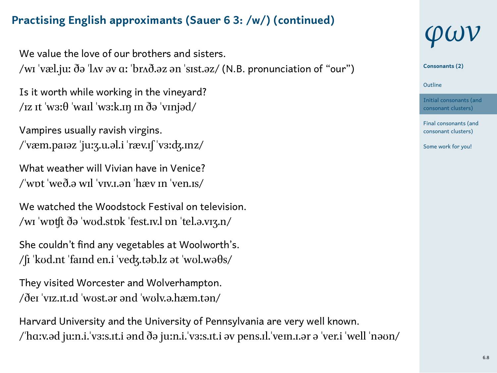### **Practising English approximants (Sauer 6 3: /w/) (continued)**

We value the love of our brothers and sisters. /wɪ ˈvæl.juː ðə ˈlʌv əv ɑː ˈbrʌð.əz ən ˈsɪst.əz/ (N.B. pronunciation of "our")

Is it worth while working in the vineyard? /ɪz ɪt 'wɜː $\theta$  'waɪl 'wɜːk.ɪŋ ɪn ðə 'vɪnjəd/

Vampires usually ravish virgins. /ˈvæm.paɪəz ˈjuːʒ.u.əl.i ˈræv.ɪʃ ˈvɜːʤ.ɪnz/

What weather will Vivian have in Venice? /ˈwɒt ˈweð.ə wɪl ˈvɪv.ɪ.ən ˈhæv ɪn ˈven.ɪs/

We watched the Woodstock Festival on television. /wɪ ˈwɒʧt ðə ˈwʊd.stɒk ˈfest.ɪv.l ɒn ˈtel.ə.vɪʒ.n/

She couldn't find any vegetables at Woolworth's. /ʃɪ ˈkʊd.nt ˈfaɪnd en.i ˈveʤ.təb.lz ət ˈwʊl.wəθs/

They visited Worcester and Wolverhampton. /ðeɪ ˈvɪz.ɪt.ɪd ˈwʊst.ər ənd ˈwʊlv.ə.hæm.tən/

Harvard University and the University of Pennsylvania are very well known. /ˈhɑːv.əd juːn.i.ˈvɜːs.ɪt.i ənd ðə juːn.i.ˈvɜːs.ɪt.i əv pens.ɪl.ˈveɪn.ɪ.ər ə ˈver.i ˈwell ˈnəʊn/



**Consonants (2)**

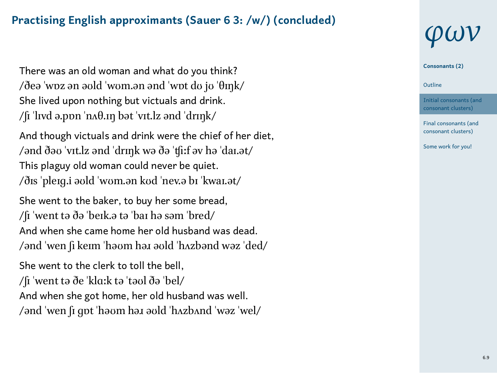### **Practising English approximants (Sauer 6 3: /w/) (concluded)**

There was an old woman and what do you think? /ðeə ˈwɒz ən əʊld ˈwʊm.ən ənd ˈwɒt dʊ jʊ ˈθɪŋk/ She lived upon nothing but victuals and drink. /ʃɪ ˈlɪvd ə.pɒn ˈnʌθ.ɪŋ bət ˈvɪt.lz ənd ˈdrɪŋk/

And though victuals and drink were the chief of her diet, /ənd ðəʊ ˈvɪt.lz ənd ˈdrɪŋk wə ðə ˈʧiːf əv hə ˈdaɪ.ət/ This plaguy old woman could never be quiet. /ðɪs ˈpleɪɡ.i əʊld ˈwʊm.ən kʊd ˈnev.ə bɪ ˈkwaɪ.ət/

She went to the baker, to buy her some bread, /ʃɪ ˈwent tə ðə ˈbeɪk.ə tə ˈbaɪ hə səm ˈbred/ And when she came home her old husband was dead. /ənd ˈwen ʃi keɪm ˈhəʊm həɹ əʊld ˈhʌzbənd wəz ˈded/

She went to the clerk to toll the bell, /ʃɪ ˈwent tə ðe ˈklɑːk tə ˈtəʊl ðə ˈbel/ And when she got home, her old husband was well. /ənd ˈwen ʃɪ ɡɒt ˈhəʊm həɹ əʊld ˈhʌzbʌnd ˈwəz ˈwel/



**Consonants (2)**

1 Outline

Initial consonants (and consonant clusters) Final consonants (and ant clusters)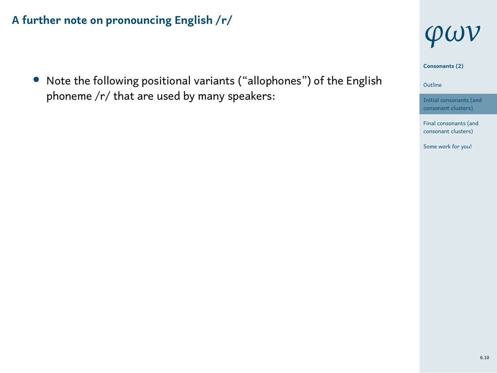*•* Note the following positional variants ("allophones") of the English phoneme /r/ that are used by many speakers:



**Consonants (2)**

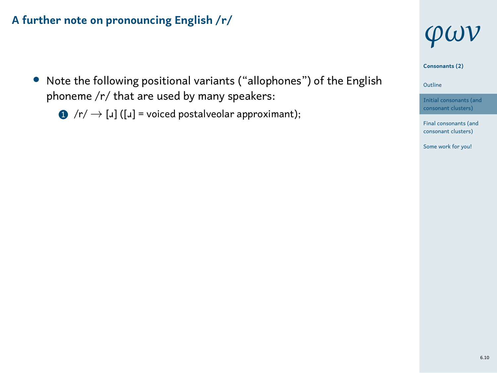- *•* Note the following positional variants ("allophones") of the English phoneme /r/ that are used by many speakers:
	- <sup>1</sup> /r/ *→* [ɹ] ([ɹ] = voiced postalveolar approximant);



**Consonants (2)**

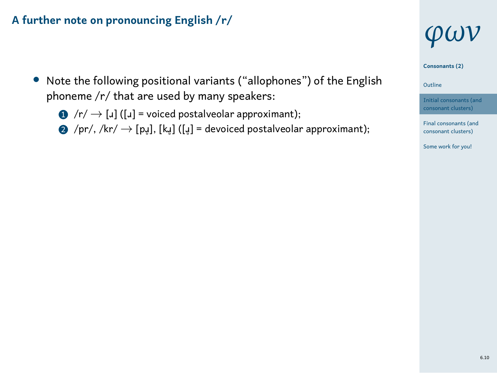- *•* Note the following positional variants ("allophones") of the English phoneme /r/ that are used by many speakers:
	- <sup>1</sup> /r/ *→* [ɹ] ([ɹ] = voiced postalveolar approximant);
	- <sup>2</sup> /pr/, /kr/ *→* [pɹ̥], [kɹ̥] ([ɹ̥] = devoiced postalveolar approximant);







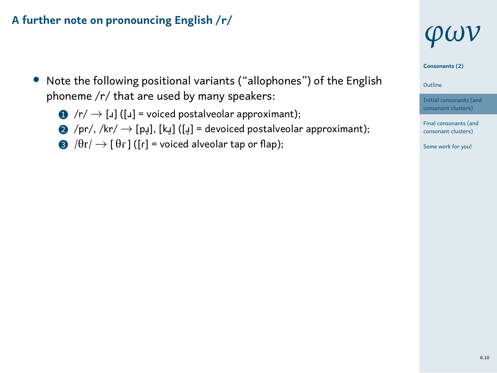- *•* Note the following positional variants ("allophones") of the English phoneme /r/ that are used by many speakers:
	- <sup>1</sup> /r/ *→* [ɹ] ([ɹ] = voiced postalveolar approximant);
	- <sup>2</sup> /pr/, /kr/ *→* [pɹ̥], [kɹ̥] ([ɹ̥] = devoiced postalveolar approximant);
	- $\bigotimes$  / $\theta$ r/  $\to$  [ $\theta$ r] ([r] = voiced alveolar tap or flap);



**Consonants (2)**



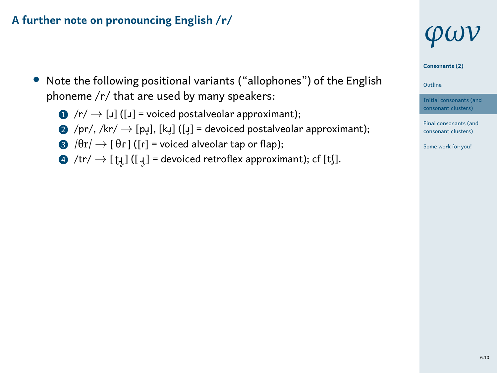- *•* Note the following positional variants ("allophones") of the English phoneme /r/ that are used by many speakers:
	- **1** /r/ → [*u*] ([*u*] = voiced postalveolar approximant);
	- 2 /pr/, /kr/ → [pı̥], [k̥]] ([ų̥] = devoiced postalveolar approximant);
	- $\bigotimes$  / $\theta$ r/  $\to$  [ $\theta$ r] ([r] = voiced alveolar tap or flap);
	- $\to$  /tr/  $\to$  [ t̪] ([ ɟ] = devoiced retroflex approximant); cf [tʃ].



**Consonants (2)**



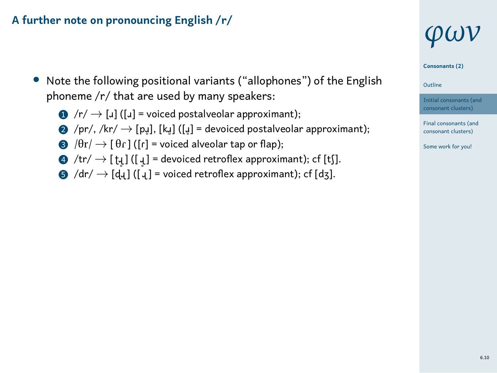- *•* Note the following positional variants ("allophones") of the English phoneme /r/ that are used by many speakers:
	- **1** /r/ → [*u*] ([*u*] = voiced postalveolar approximant);
	- 2 /pr/, /kr/ → [pı̥], [kı̥] ([ų] = devoiced postalveolar approximant);
	- $\bigcirc \theta / \theta r / \rightarrow [\theta r]$  ([r] = voiced alveolar tap or flap);
	- $\to$  /tr/  $\to$  [ t̪] ([ ɟ] = devoiced retroflex approximant); cf [tʃ].
	- <sup>5</sup> /dr/ *→* [ɖɻ ] ([ ɻ ] = voiced retroflex approximant); cf [dʒ].



**Consonants (2)**





Final consonants (and consonant clusters) Some work for you!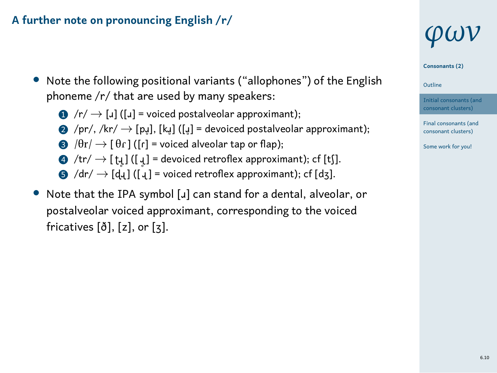- *•* Note the following positional variants ("allophones") of the English phoneme /r/ that are used by many speakers:
	- **1** /r/ → [*u*] ([*u*] = voiced postalveolar approximant);
	- 2 /pr/, /kr/ → [pı̥], [k̥]] ([ų] = devoiced postalveolar approximant);
	- $\bigotimes$  / $\theta$ r/  $\rightarrow$  [ $\theta$ r] ([r] = voiced alveolar tap or flap);
	- $\to$  /tr/  $\to$  [ t̪] ([ ɟ] = devoiced retroflex approximant); cf [tʃ].
	- <sup>5</sup> /dr/ *→* [ɖɻ ] ([ ɻ ] = voiced retroflex approximant); cf [dʒ].
- *•* Note that the IPA symbol [ɹ] can stand for a dental, alveolar, or postalveolar voiced approximant, corresponding to the voiced fricatives [ð], [z], or [ʒ].

# *φων*







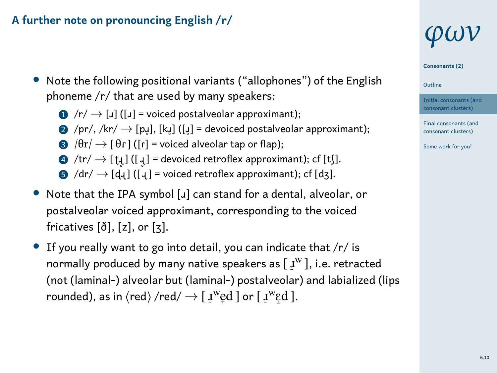- *•* Note the following positional variants ("allophones") of the English phoneme /r/ that are used by many speakers:
	- **1** /r/ → [*u*] ([*u*] = voiced postalveolar approximant);
	- 2 /pr/, /kr/ → [pı̥], [k̥]] ([ų] = devoiced postalveolar approximant);
	- $\bigcirc$  / $\theta$ r/  $\rightarrow$  [ $\theta$ r] ([r] = voiced alveolar tap or flap);
	- $\to$  /tr/  $\to$  [ t̪] ([ ɟ] = devoiced retroflex approximant); cf [tʃ].
	- <sup>5</sup> /dr/ *→* [ɖɻ ] ([ ɻ ] = voiced retroflex approximant); cf [dʒ].
- *•* Note that the IPA symbol [ɹ] can stand for a dental, alveolar, or postalveolar voiced approximant, corresponding to the voiced fricatives [ð], [z], or [ʒ].
- *•* If you really want to go into detail, you can indicate that /r/ is normally produced by many native speakers as  $[I^w]$ , i.e. retracted (not (laminal-) alveolar but (laminal-) postalveolar) and labialized (lips rounded), as in  $\langle \text{red}\rangle$  /red/  $\rightarrow$  [  $\textbf{1}^w\textbf{e}d$  ] or [  $\textbf{1}^w\textbf{e}d$  ].

# *φων*







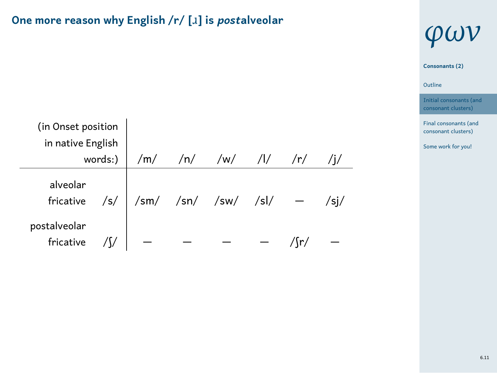# **One more reason why English /r/ [**ɹ**] is** *post***alveolar**

| (in Onset position<br>in native English<br>words:) |  | /m/ /n/ /w/ /l/ /r/ |  |  |  |
|----------------------------------------------------|--|---------------------|--|--|--|
| alveolar<br>fricative $/s/$                        |  |                     |  |  |  |
| postalveolar<br>fricative                          |  |                     |  |  |  |



1 Outline

ants (and consonant clusters) Final consonants (and consonant clusters) Some work for you!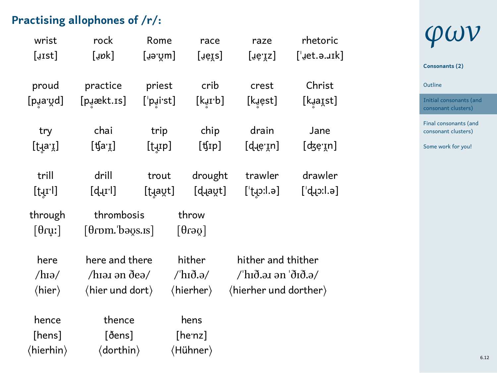# **Practising allophones of /r/:**

| ractising allophones of /r/: |                                  |            |                              |                       |                     |  |  |  |  |  |
|------------------------------|----------------------------------|------------|------------------------------|-----------------------|---------------------|--|--|--|--|--|
| wrist                        | rock<br>Rome                     |            | race                         | raze                  | rhetoric            |  |  |  |  |  |
| [ust]                        | [upk]                            | [ɹəˈʊ̯m]   | [ɹeɪs]                       | [ɹeˈɪz]               | ['jet.a.ark]        |  |  |  |  |  |
|                              |                                  |            |                              |                       |                     |  |  |  |  |  |
| proud                        | practice                         | priest     | crib                         | crest                 | Christ              |  |  |  |  |  |
| [pɹaːʊ̯d]                    | [puækt.1s]                       | [ˈpɹ̯iːst] | [kɹɪːb]                      | [kɹ̯est]              | [kɹaɪ̯st]           |  |  |  |  |  |
|                              |                                  |            |                              |                       |                     |  |  |  |  |  |
| try                          | chai                             | trip       | chip                         | drain                 | Jane                |  |  |  |  |  |
| [tɹaːɪ̯]                     | [ʧa·ɪ̯]                          | [tuɪp]     | $[4$ ip]                     | [d̪]]                 | [ʤe̞·ɪ̯n]           |  |  |  |  |  |
|                              |                                  |            |                              |                       |                     |  |  |  |  |  |
| trill                        | drill                            | trout      | drought                      | trawler               | drawler             |  |  |  |  |  |
| $[t$ <sub>U</sub> rl]        | [d.rl]                           | [tɹaʊ̯t]   | [d.avt]                      | [ˈtɹɔːl.ə]            | $[$ d.l $:$ c $\mu$ |  |  |  |  |  |
| through                      | thrombosis                       |            | throw                        |                       |                     |  |  |  |  |  |
| $\lceil \theta$ ruː $\rceil$ | $[0$ rom. bə $\varphi$ s. ıs $]$ |            | $\lceil 0$ rə $\mathfrak{g}$ |                       |                     |  |  |  |  |  |
|                              |                                  |            |                              |                       |                     |  |  |  |  |  |
| here                         | here and there                   |            | hither                       | hither and thither    |                     |  |  |  |  |  |
| $/h$ Iə/                     | /hɪəɹ ən ðeə/                    |            | /ˈhɪð.ə/                     | /'hɪð.əɹ ən 'ðɪð.ə/   |                     |  |  |  |  |  |
| $\langle$ hier $\rangle$     | (hier und dort)                  |            | (hierher)                    | (hierher und dorther) |                     |  |  |  |  |  |
|                              |                                  |            |                              |                       |                     |  |  |  |  |  |
| hence                        | thence                           |            | hens                         |                       |                     |  |  |  |  |  |
| [hens]                       | [ðens]                           |            | [he <sup>nz]</sup>           |                       |                     |  |  |  |  |  |
| (hierhin)                    | (dorthin)                        |            | (Hühner)                     |                       |                     |  |  |  |  |  |
|                              |                                  |            |                              |                       |                     |  |  |  |  |  |

# *φων*

# **Consonants (2)**

1 Outline

Initial consonants (and consonant clusters) Final consonants (and consonant clusters)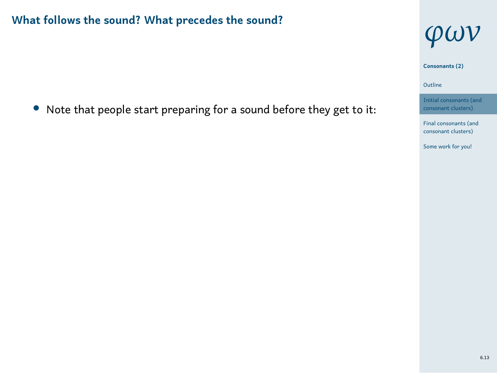*•* Note that people start preparing for a sound before they get to it:

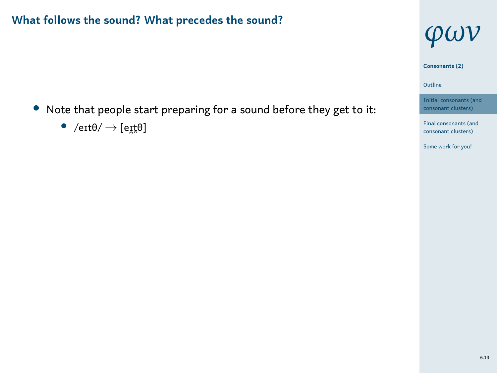- *•* Note that people start preparing for a sound before they get to it:
	- *•* /eɪtθ/ *→* [eɪ̯t̪θ]

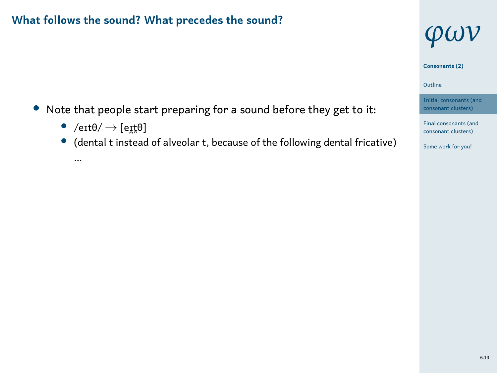- *•* Note that people start preparing for a sound before they get to it:
	- *•* /eɪtθ/ *→* [eɪ̯t̪θ]
	- *•* (dental t instead of alveolar t, because of the following dental fricative) …





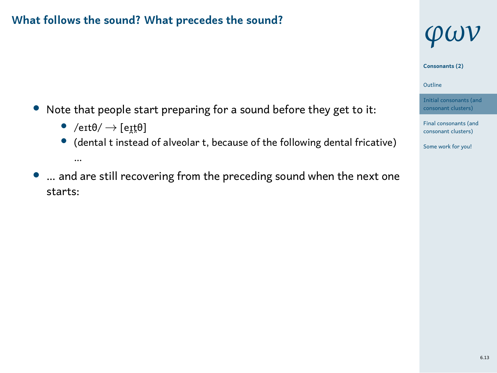

- *•* /eɪtθ/ *→* [eɪ̯t̪θ]
- *•* (dental t instead of alveolar t, because of the following dental fricative) …
- *•* … and are still recovering from the preceding sound when the next one starts:

# *φων* **Consonants (2)**





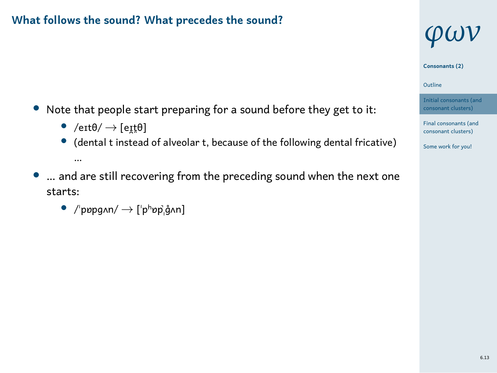

- *•* /eɪtθ/ *→* [eɪ̯t̪θ]
- *•* (dental t instead of alveolar t, because of the following dental fricative) …
- *•* … and are still recovering from the preceding sound when the next one starts:
	- *•* /ˈpɒpɡʌn/ *→* [ˈpʰɒp̚ˌɡ̊ʌn]





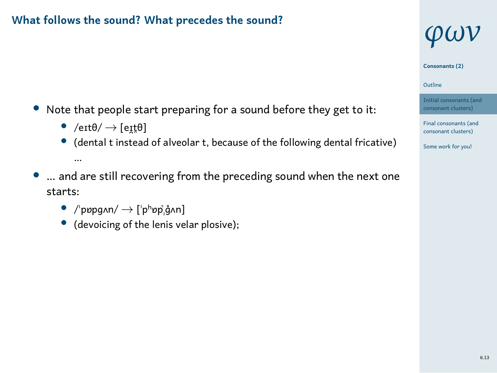

- *•* /eɪtθ/ *→* [eɪ̯t̪θ]
- *•* (dental t instead of alveolar t, because of the following dental fricative) …
- *•* … and are still recovering from the preceding sound when the next one starts:
	- *•* /ˈpɒpɡʌn/ *→* [ˈpʰɒp̚ˌɡ̊ʌn]
	- *•* (devoicing of the lenis velar plosive);







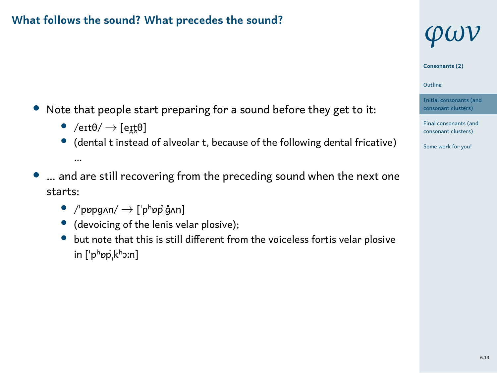*φων* **Consonants (2)**

1 Outline

- Initial consonants (and consonant clusters)
- Final consonants (and consonant clusters) Some work for you!
- *•* Note that people start preparing for a sound before they get to it:
	- *•* /eɪtθ/ *→* [eɪ̯t̪θ]
	- *•* (dental t instead of alveolar t, because of the following dental fricative) …
- *•* … and are still recovering from the preceding sound when the next one starts:
	- *•* /ˈpɒpɡʌn/ *→* [ˈpʰɒp̚ˌɡ̊ʌn]
	- *•* (devoicing of the lenis velar plosive);
	- *•* but note that this is still different from the voiceless fortis velar plosive in [ˈpʰɒp̚ˌkʰɔːn]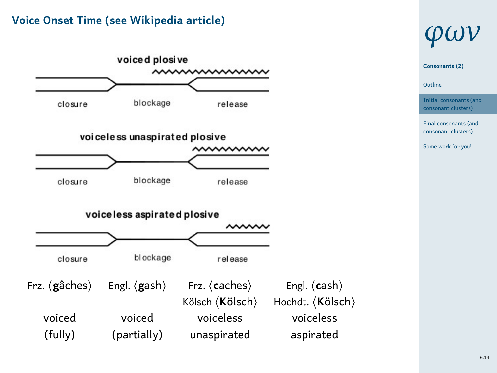# **Voice Onset Time (see Wikipedia article)**



# *φων*

1 Outline **Consonants (2)** Initial consonants (and

consonant clusters) Final consonants (and consonant clusters) Some work for you!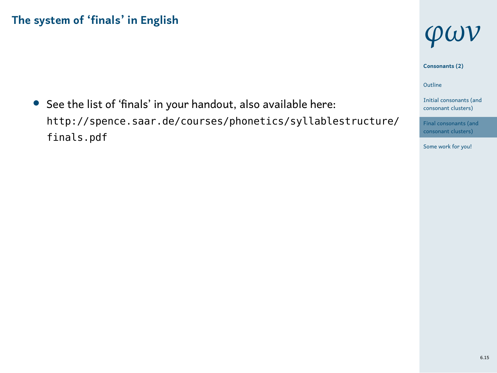*•* See the list of 'finals' in your handout, also available here: http://spence.saar.de/courses/phonetics/syllablestructure/ finals.pdf



**Consonants (2)**

1 Outline

Initial consonants (and consonant clusters)



6.15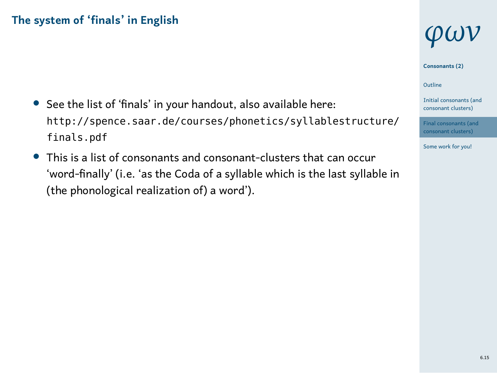- *•* See the list of 'finals' in your handout, also available here: http://spence.saar.de/courses/phonetics/syllablestructure/ finals.pdf
- *•* This is a list of consonants and consonant-clusters that can occur 'word-finally' (i.e. 'as the Coda of a syllable which is the last syllable in (the phonological realization of) a word').

# *φων*

**Consonants (2)**

1 Outline

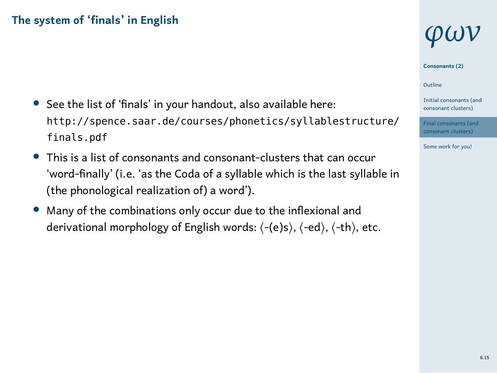- *•* See the list of 'finals' in your handout, also available here: http://spence.saar.de/courses/phonetics/syllablestructure/ finals.pdf
- *•* This is a list of consonants and consonant-clusters that can occur 'word-finally' (i.e. 'as the Coda of a syllable which is the last syllable in (the phonological realization of) a word').
- *•* Many of the combinations only occur due to the inflexional and derivational morphology of English words: ⟨-(e)s⟩, ⟨-ed⟩, ⟨-th⟩, etc.

# *φων*

**Consonants (2)**

1 Outline

Initial consonants (and consonant clusters) Final consonants (and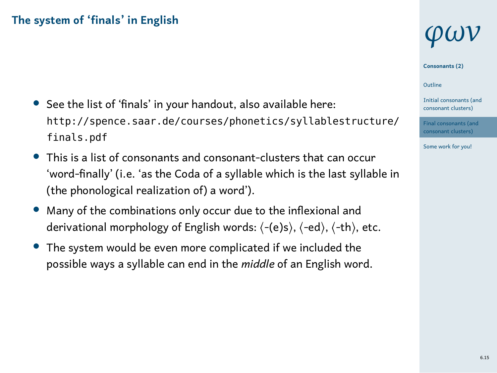- *•* See the list of 'finals' in your handout, also available here: http://spence.saar.de/courses/phonetics/syllablestructure/ finals.pdf
- *•* This is a list of consonants and consonant-clusters that can occur 'word-finally' (i.e. 'as the Coda of a syllable which is the last syllable in (the phonological realization of) a word').
- *•* Many of the combinations only occur due to the inflexional and derivational morphology of English words: ⟨-(e)s⟩, ⟨-ed⟩, ⟨-th⟩, etc.
- *•* The system would be even more complicated if we included the possible ways a syllable can end in the *middle* of an English word.

# *φων*

**Consonants (2)**

Outline

1 Initial consonants (and consonant clusters) Final consonants (and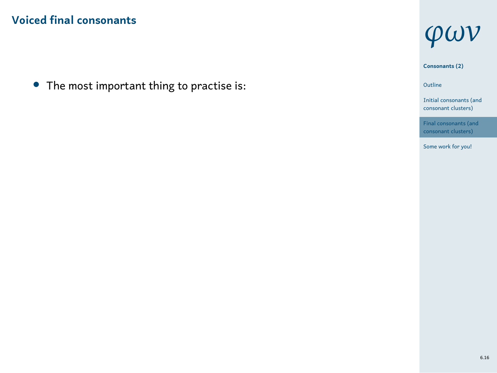*•* The most important thing to practise is:



1 Outline Initial consonants (and consonant clusters) Final consonants (ar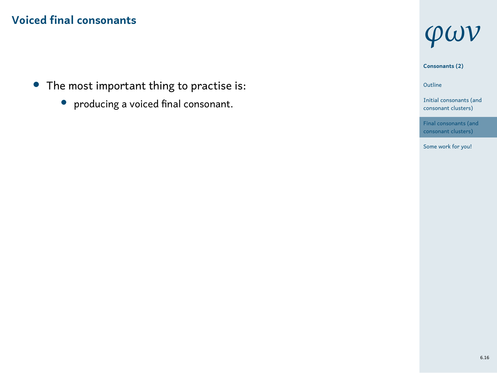- *•* The most important thing to practise is:
	- *•* producing a voiced final consonant.



1 Outline Initial consonants (and consonant clusters) Final consonants (ar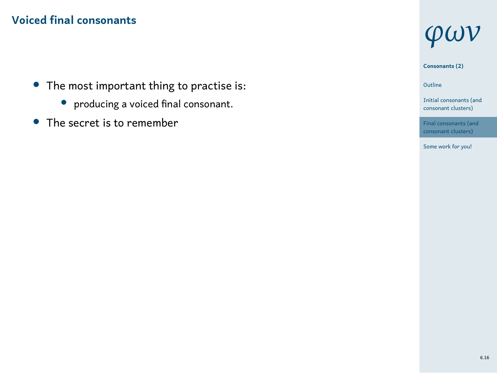- *•* The most important thing to practise is:
	- *•* producing a voiced final consonant.
- *•* The secret is to remember



1 Outline Initial consonants (and consonant clusters)

Final consonants (an consonant clusters) Some work for you!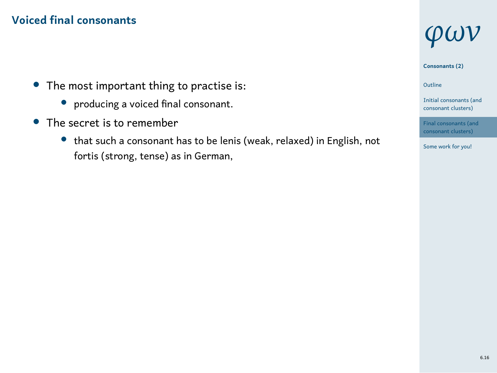- *•* The most important thing to practise is:
	- *•* producing a voiced final consonant.
- *•* The secret is to remember
	- *•* that such a consonant has to be lenis (weak, relaxed) in English, not fortis (strong, tense) as in German,

# *φων*

**Consonants (2)**

1 Outline

Initial consonants (and consonant clusters)



6.16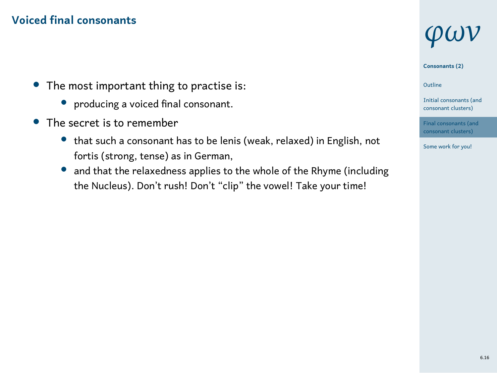- *•* The most important thing to practise is:
	- *•* producing a voiced final consonant.
- *•* The secret is to remember
	- *•* that such a consonant has to be lenis (weak, relaxed) in English, not fortis (strong, tense) as in German,
	- *•* and that the relaxedness applies to the whole of the Rhyme (including the Nucleus). Don't rush! Don't "clip" the vowel! Take your time!

# *φων*

**Consonants (2)**

1 Outline

Initial consonants (and consonant clusters)



6.16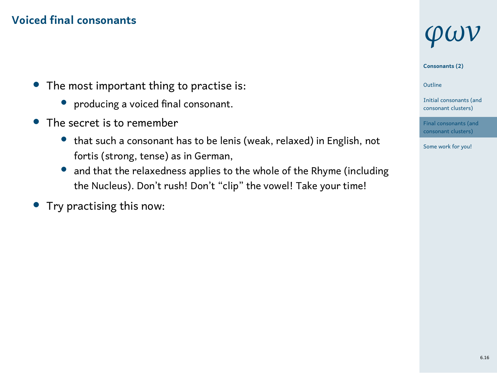- *•* The most important thing to practise is:
	- *•* producing a voiced final consonant.
- *•* The secret is to remember
	- *•* that such a consonant has to be lenis (weak, relaxed) in English, not fortis (strong, tense) as in German,
	- *•* and that the relaxedness applies to the whole of the Rhyme (including the Nucleus). Don't rush! Don't "clip" the vowel! Take your time!
- *•* Try practising this now:



**Consonants (2)**

1 Outline

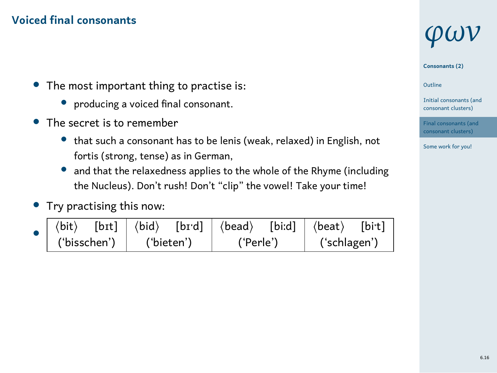- *•* The most important thing to practise is:
	- *•* producing a voiced final consonant.
- *•* The secret is to remember
	- *•* that such a consonant has to be lenis (weak, relaxed) in English, not fortis (strong, tense) as in German,
	- *•* and that the relaxedness applies to the whole of the Rhyme (including the Nucleus). Don't rush! Don't "clip" the vowel! Take your time!
- *•* Try practising this now:

|                           |  |  |  | $\Box$ $\langle$ bit $\rangle$ [bɪt] $\langle$ bid $\rangle$ [bɪ·d] $\langle$ bead $\rangle$ [biːd] $\langle$ beat $\rangle$ [bi·t] |  |              |  |
|---------------------------|--|--|--|-------------------------------------------------------------------------------------------------------------------------------------|--|--------------|--|
| ('bisschen')   ('bieten') |  |  |  | ('Perle')                                                                                                                           |  | ('schlagen') |  |

# *φων*

**Consonants (2)**

1 Outline

Initial consonants (and consonant clusters)

Final consonants (and consonant clusters) Some work for you!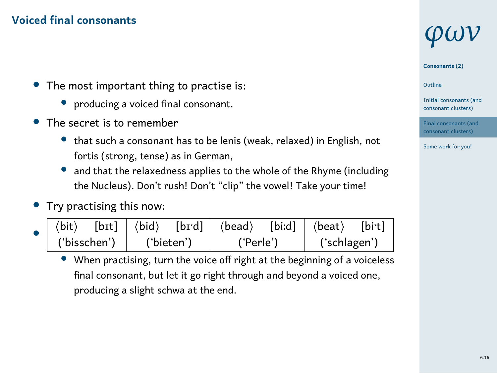- *•* The most important thing to practise is:
	- *•* producing a voiced final consonant.
- *•* The secret is to remember
	- *•* that such a consonant has to be lenis (weak, relaxed) in English, not fortis (strong, tense) as in German,
	- *•* and that the relaxedness applies to the whole of the Rhyme (including the Nucleus). Don't rush! Don't "clip" the vowel! Take your time!
- *•* Try practising this now:

|  |                           |  |  |  | $\vert \langle \text{bit} \rangle$ [bɪt] $\vert \langle \text{bid} \rangle$ [bɪ·d] $\vert \langle \text{bead} \rangle$ [biːd] $\vert \langle \text{beat} \rangle$ [bi·t] |  |              |  |
|--|---------------------------|--|--|--|--------------------------------------------------------------------------------------------------------------------------------------------------------------------------|--|--------------|--|
|  | ('bisschen')   ('bieten') |  |  |  | ('Perle')                                                                                                                                                                |  | ('schlagen') |  |

• When practising, turn the voice off right at the beginning of a voiceless final consonant, but let it go right through and beyond a voiced one, producing a slight schwa at the end.

# *φων*

**Consonants (2)**

1 Outline



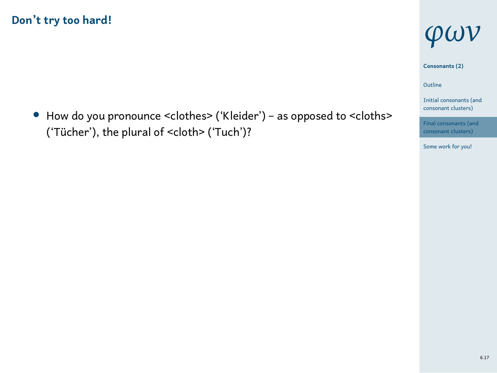*•* How do you pronounce <clothes> ('Kleider') – as opposed to <cloths> ('Tücher'), the plural of <cloth> ('Tuch')?



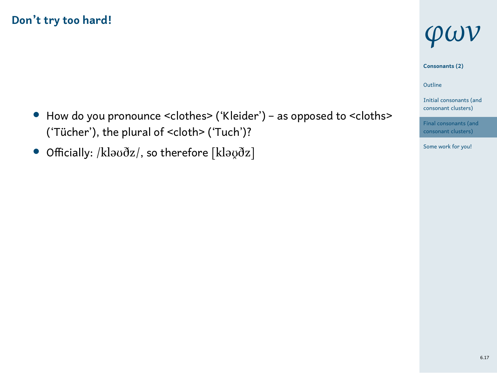- *•* How do you pronounce <clothes> ('Kleider') as opposed to <cloths> ('Tücher'), the plural of <cloth> ('Tuch')?
- Officially: /kləʊðz/, so therefore [kləʊ̯ðz]





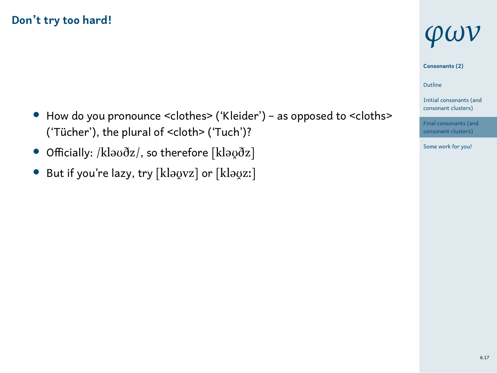- *•* How do you pronounce <clothes> ('Kleider') as opposed to <cloths> ('Tücher'), the plural of <cloth> ('Tuch')?
- Officially: /kləʊðz/, so therefore [kləʊ̯ðz]
- But if you're lazy, try [klavar] or [klavar]



1 Outline

Initial consonants (and consonant clusters)



6.17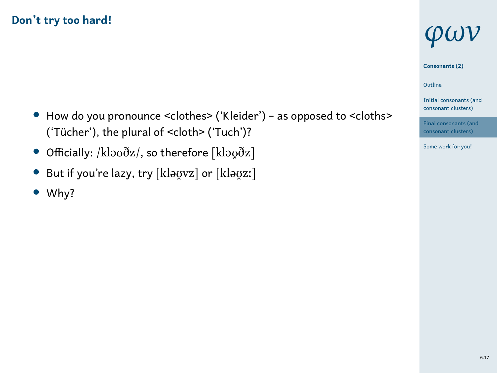- *•* How do you pronounce <clothes> ('Kleider') as opposed to <cloths> ('Tücher'), the plural of <cloth> ('Tuch')?
- Officially: /kləʊðz/, so therefore [kləʊ̯ðz]
- But if you're lazy, try [klaovz] or [klaozː]
- *•* Why?



1 Outline

Initial consonants (and consonant clusters)



6.17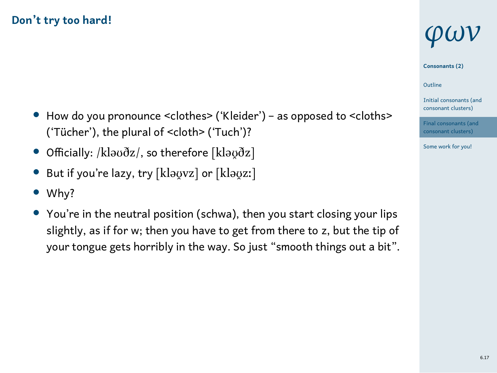- *•* How do you pronounce <clothes> ('Kleider') as opposed to <cloths> ('Tücher'), the plural of <cloth> ('Tuch')?
- Officially: /kləʊðz/, so therefore [kləʊ̯ðz]
- But if you're lazy, try [klavvz] or [klavzː]
- *•* Why?
- You're in the neutral position (schwa), then you start closing your lips slightly, as if for w; then you have to get from there to z, but the tip of your tongue gets horribly in the way. So just "smooth things out a bit".

# *φων*

**Consonants (2)** Outline